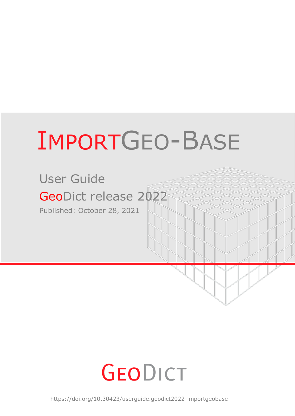# IMPORTGEO-BASE

User Guide GeoDict release 2022 Published: October 28, 2021

## GEODICT

https://doi.org/10.30423/userguide.geodict2022-importgeobase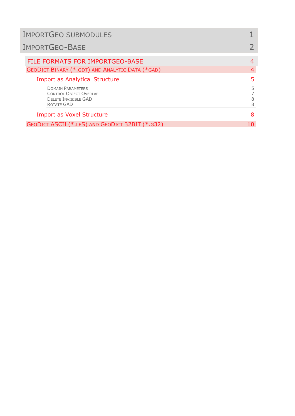| <b>IMPORTGEO SUBMODULES</b>                                                                            |             |
|--------------------------------------------------------------------------------------------------------|-------------|
| <b>IMPORTGEO-BASE</b>                                                                                  |             |
| FILE FORMATS FOR IMPORTGEO-BASE                                                                        | 4           |
| GEODICT BINARY (*.GDT) AND ANALYTIC DATA (*GAD)<br><b>Import as Analytical Structure</b>               | 4<br>5      |
| <b>DOMAIN PARAMETERS</b><br><b>CONTROL OBJECT OVERLAP</b><br><b>DELETE INVISIBLE GAD</b><br>ROTATE GAD | 5<br>8<br>8 |
| <b>Import as Voxel Structure</b>                                                                       | 8           |
| GEODICT ASCII (*.LES) AND GEODICT 32BIT (*.G32)                                                        | 10          |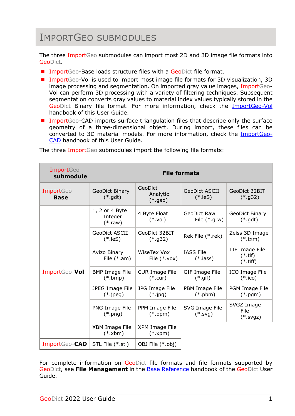## <span id="page-2-0"></span>IMPORTGEO SUBMODULES

The three ImportGeo submodules can import most 2D and 3D image file formats into GeoDict.

- ImportGeo-Base loads structure files with a GeoDict file format.
- ImportGeo-Vol is used to import most image file formats for 3D visualization, 3D image processing and segmentation. On imported gray value images, ImportGeo-Vol can perform 3D processing with a variety of filtering techniques. Subsequent segmentation converts gray values to material index values typically stored in the GeoDict Binary file format. For more information, check the [ImportGeo-Vol](https://www.geodict.com/Support/UserGuide.php?lang=en) handbook of this User Guide.
- ImportGeo-CAD imports surface triangulation files that describe only the surface geometry of a three-dimensional object. During import, these files can be converted to 3D material models. For more information, check the [ImportGeo-](https://www.geodict.com/Support/UserGuide.php?lang=en)[CAD](https://www.geodict.com/Support/UserGuide.php?lang=en) handbook of this User Guide.

| ImportGeo<br>submodule    | <b>File formats</b>                    |                                      |                                      |                                            |  |  |
|---------------------------|----------------------------------------|--------------------------------------|--------------------------------------|--------------------------------------------|--|--|
| ImportGeo-<br><b>Base</b> | <b>GeoDict Binary</b><br>$(*.gdt)$     | GeoDict<br>Analytic<br>$(*.$ gad $)$ | <b>GeoDict ASCII</b><br>$(*.$ leS)   | GeoDict 32BIT<br>$(*.g32)$                 |  |  |
|                           | 1, 2 or 4 Byte<br>Integer<br>$(*.raw)$ | 4 Byte Float<br>$(*.vol)$            | <b>GeoDict Raw</b><br>File $(*.grw)$ | GeoDict Binary<br>$(*.gdt)$                |  |  |
|                           | GeoDict ASCII<br>$(*.$ leS)            | GeoDict 32BIT<br>$(*.g32)$           | Rek File (*.rek)                     | Zeiss 3D Image<br>$(*.txm)$                |  |  |
|                           | Avizo Binary<br>File $(*.am)$          | WiseTex Vox<br>File $(*.vox)$        | <b>IASS File</b><br>$(*.iass)$       | TIF Image File<br>$(*.tif)$<br>$(*.$ tiff) |  |  |
| ImportGeo-Vol             | <b>BMP Image File</b><br>$(*.$ bmp $)$ | <b>CUR Image File</b><br>$(*.cur)$   | GIF Image File<br>$(*.$ gif)         | ICO Image File<br>$(*.ico)$                |  |  |
|                           | JPEG Image File<br>$(*.jpg)$           | JPG Image File<br>$(*.jpg)$          | PBM Image File<br>$(*.pbm)$          | PGM Image File<br>$(*.pgm)$                |  |  |
|                           | PNG Image File<br>$(*.$ png $)$        | PPM Image File<br>$(*.ppm)$          | SVG Image File<br>$(*.$ svg $)$      | SVGZ Image<br>File<br>$(*.$ svgz $)$       |  |  |
|                           | XBM Image File<br>$(*xbm)$             | XPM Image File<br>$(*.xpm)$          |                                      |                                            |  |  |
| ImportGeo-CAD             | STL File (*.stl)                       | OBJ File (*.obj)                     |                                      |                                            |  |  |

The three ImportGeo submodules import the following file formats:

For complete information on GeoDict file formats and file formats supported by GeoDict, see **File Management** in the [Base Reference h](https://www.geodict.com/Support/UserGuide.php?lang=en)andbook of the GeoDict User Guide.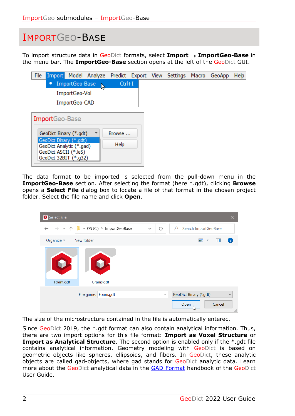### <span id="page-3-0"></span>IMPORTGEO-BASE

To import structure data in GeoDict formats, select **Import** → **ImportGeo-Base** in the menu bar. The **ImportGeo-Base** section opens at the left of the GeoDict GUI.



The data format to be imported is selected from the pull-down menu in the **ImportGeo-Base** section. After selecting the format (here \*.gdt), clicking **Browse** opens a **Select File** dialog box to locate a file of that format in the chosen project folder. Select the file name and click **Open**.

| Select File      |                                                                                           |              |                       |                                | ×                             |
|------------------|-------------------------------------------------------------------------------------------|--------------|-----------------------|--------------------------------|-------------------------------|
| $\leftarrow$     | $\rightarrow \rightarrow \rightarrow \uparrow$   $\blacksquare$ « OS (C:) > ImportGeoBase | $\checkmark$ | Ü                     | Search ImportGeoBase<br>O      |                               |
| Organize $\star$ | New folder                                                                                |              |                       | ▼                              | Ш                             |
|                  |                                                                                           |              |                       |                                |                               |
| Foam.gdt         | Grains.gdt                                                                                |              |                       |                                |                               |
|                  | File name: Foam.gdt                                                                       |              | $\boldsymbol{\times}$ | GeoDict Binary (*.gdt)<br>Qpen | $\checkmark$<br>Cancel<br>цÍ. |

The size of the microstructure contained in the file is automatically entered.

Since GeoDict 2019, the \*.gdt format can also contain analytical information. Thus, there are two import options for this file format: **Import as Voxel Structure** or **Import as Analytical Structure**. The second option is enabled only if the \*.gdt file contains analytical information. Geometry modeling with GeoDict is based on geometric objects like spheres, ellipsoids, and fibers. In GeoDict, these analytic objects are called gad-objects, where gad stands for GeoDict analytic data. Learn more about the GeoDict analytical data in the [GAD Format](https://www.geodict.com/Support/UserGuide.php) handbook of the GeoDict User Guide.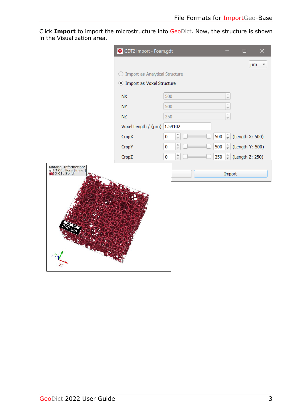|                                                               | GDT2 Import - Foam.gdt                    |                               |                                | □               | ×  |
|---------------------------------------------------------------|-------------------------------------------|-------------------------------|--------------------------------|-----------------|----|
|                                                               |                                           |                               |                                |                 | μm |
|                                                               | $\bigcirc$ Import as Analytical Structure |                               |                                |                 |    |
|                                                               | <b>Import as Voxel Structure</b>          |                               |                                |                 |    |
|                                                               | NX                                        | 500                           | ÷                              |                 |    |
|                                                               | <b>NY</b>                                 | 500                           | A.<br>$\overline{\phantom{a}}$ |                 |    |
|                                                               | <b>NZ</b>                                 | 250                           | ¢                              |                 |    |
|                                                               | Voxel Length / $(\mu m)$ 1.59102          |                               |                                |                 |    |
|                                                               | CropX                                     | $\hat{=}$<br>$\pmb{0}$<br>500 | $\hat{\bar{\mathbf{z}}}$       | (Length X: 500) |    |
|                                                               | <b>CropY</b>                              | $\hat{=}$<br>$\pmb{0}$<br>500 | ÷                              | (Length Y: 500) |    |
|                                                               | CropZ                                     | $\hat{=}$<br>250<br>$\pmb{0}$ | $\hat{\bar{\mathbf{z}}}$       | (Length Z: 250) |    |
| Material Information:<br>ID 00: Pore [invis.]<br>ID 01: Solid |                                           |                               | Import                         |                 |    |

Click **Import** to import the microstructure into GeoDict. Now, the structure is shown in the Visualization area.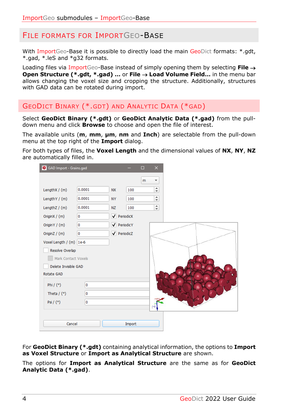#### <span id="page-5-0"></span>FILE FORMATS FOR IMPORTGEO-BASE

With ImportGeo-Base it is possible to directly load the main GeoDict formats: \*.gdt, \*.gad, \*.leS and \*g32 formats.

Loading files via ImportGeo-Base instead of simply opening them by selecting **File** → **Open Structure (\*.gdt, \*.gad) …** or **File** → **Load Volume Field…** in the menu bar allows changing the voxel size and cropping the structure. Additionally, structures with GAD data can be rotated during import.

#### <span id="page-5-1"></span>GEODICT BINARY (\*.GDT) AND ANALYTIC DATA (\*GAD)

Select **GeoDict Binary (\*.gdt)** or **GeoDict Analytic Data (\*.gad)** from the pulldown menu and click **Browse** to choose and open the file of interest.

The available units (**m**, **mm**, **µm**, **nm** and **Inch**) are selectable from the pull-down menu at the top right of the **Import** dialog.

For both types of files, the **Voxel Length** and the dimensional values of **NX**, **NY**, **NZ** are automatically filled in.

| GAD Import - Grains.gad |           |             |        | $\Box$ | ×                        |
|-------------------------|-----------|-------------|--------|--------|--------------------------|
|                         |           |             |        | m      | $\overline{\phantom{a}}$ |
| LengthX / (m)           | 0.0001    | <b>NX</b>   | 100    |        | $\div$                   |
| LengthY / (m)           | 0.0001    | <b>NY</b>   | 100    |        | $\hat{=}$                |
| LengthZ / (m)           | 0.0001    | <b>NZ</b>   | 100    |        | ÷                        |
| OriginX / (m)           | $\pmb{0}$ | V PeriodicX |        |        |                          |
| Origin Y / (m)          | $\bf{0}$  | V PeriodicY |        |        |                          |
| OriginZ / (m)           | $\bf{0}$  | V PeriodicZ |        |        |                          |
| Voxel Length / (m)      | $1e-6$    |             |        |        |                          |
| Resolve Overlap         |           |             |        |        |                          |
| Mark Contact Voxels     |           |             |        |        |                          |
| Delete Invisible GAD    |           |             |        |        |                          |
| Rotate GAD              |           |             |        |        |                          |
| Phi $/$ (°)             | 0         |             |        |        |                          |
| Theta $/$ ( $\degree$ ) | $\bf{0}$  |             |        |        |                          |
| Psi $/$ (°)             | 0         |             |        |        | N                        |
|                         |           |             |        |        |                          |
| Cancel                  |           |             | Import |        |                          |

For **GeoDict Binary (\*.gdt)** containing analytical information, the options to **Import as Voxel Structure** or **Import as Analytical Structure** are shown.

The options for **Import as Analytical Structure** are the same as for **GeoDict Analytic Data (\*.gad)**.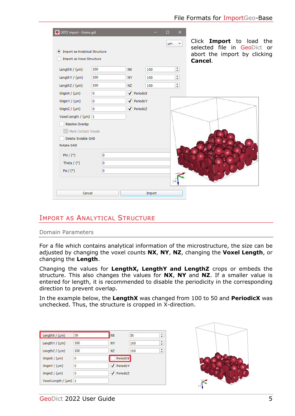| GDT2 Import - Grains.gdt                                   |     |                  | $\times$<br>П |                                                                                         |
|------------------------------------------------------------|-----|------------------|---------------|-----------------------------------------------------------------------------------------|
| Import as Analytical Structure<br>$\left( \bullet \right)$ |     |                  | <b>um</b>     | Click Import to load the<br>selected file in GeoDict or<br>abort the import by clicking |
| Import as Voxel Structure                                  |     |                  |               | Cancel.                                                                                 |
| Length $X / (µm)$                                          | 100 | <b>NX</b><br>100 | ÷             |                                                                                         |
| LengthY / (µm)                                             | 100 | <b>NY</b><br>100 | ÷             |                                                                                         |
| Length $Z / (µm)$                                          | 100 | 100<br>NZ        | $\div$        |                                                                                         |
| OriginX $/$ ( $\mu$ m)                                     | 0   | V PeriodicX      |               |                                                                                         |
| Origin Y $/$ ( $\mu$ m)                                    | 0   | V PeriodicY      |               |                                                                                         |
| OriginZ $/$ ( $\mu$ m)                                     | 0   | V PeriodicZ      |               |                                                                                         |
| Voxel Length / $(\mu m)$ 1                                 |     |                  |               |                                                                                         |
| Resolve Overlap                                            |     |                  |               |                                                                                         |
| Mark Contact Voxels                                        |     |                  |               |                                                                                         |
| Delete Invisible GAD                                       |     |                  |               |                                                                                         |
| Rotate GAD                                                 |     |                  |               |                                                                                         |
| Phi $/$ (°)                                                | 0   |                  |               |                                                                                         |
| Theta $/$ ( $\degree$ )                                    | 0   |                  |               |                                                                                         |
| Psi $/$ (°)                                                | 0   |                  |               |                                                                                         |
|                                                            |     |                  |               |                                                                                         |
| Cancel                                                     |     | Import           |               |                                                                                         |

#### <span id="page-6-0"></span>IMPORT AS ANALYTICAL STRUCTURE

#### <span id="page-6-1"></span>Domain Parameters

For a file which contains analytical information of the microstructure, the size can be adjusted by changing the voxel counts **NX**, **NY**, **NZ**, changing the **Voxel Length**, or changing the **Length**.

Changing the values for **LengthX, LengthY and LengthZ** crops or embeds the structure. This also changes the values for **NX**, **NY** and **NZ**. If a smaller value is entered for length, it is recommended to disable the periodicity in the corresponding direction to prevent overlap.

In the example below, the **LengthX** was changed from 100 to 50 and **PeriodicX** was unchecked. Thus, the structure is cropped in X-direction.

| Length $X / (µm)$       | 50  | <b>NX</b>   | 50  | ٠.<br>$\overline{\phantom{a}}$ |
|-------------------------|-----|-------------|-----|--------------------------------|
| Length $Y / (µm)$       | 100 | <b>NY</b>   | 100 | $\hat{\div}$                   |
| Length $Z / (µm)$       | 100 | NZ          | 100 | $\hat{\div}$                   |
| OriginX $/$ ( $\mu$ m)  | 0   | PeriodicX   |     |                                |
| Origin Y $/$ ( $\mu$ m) | 0   | V PeriodicY |     |                                |
| OriginZ $/$ ( $\mu$ m)  | 0   | V PeriodicZ |     |                                |
| Voxel Length / (µm)  1  |     |             |     |                                |

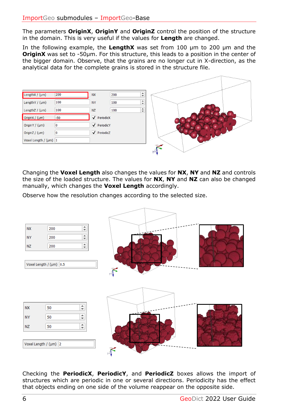The parameters **OriginX**, **OriginY** and **OriginZ** control the position of the structure in the domain. This is very useful if the values for **Length** are changed.

In the following example, the **LengthX** was set from 100 µm to 200 µm and the **OriginX** was set to -50µm. For this structure, this leads to a position in the center of the bigger domain. Observe, that the grains are no longer cut in X-direction, as the analytical data for the complete grains is stored in the structure file.



Changing the **Voxel Length** also changes the values for **NX**, **NY** and **NZ** and controls the size of the loaded structure. The values for **NX**, **NY** and **NZ** can also be changed manually, which changes the **Voxel Length** accordingly.

Observe how the resolution changes according to the selected size.



Checking the **PeriodicX**, **PeriodicY**, and **PeriodicZ** boxes allows the import of structures which are periodic in one or several directions. Periodicity has the effect that objects ending on one side of the volume reappear on the opposite side.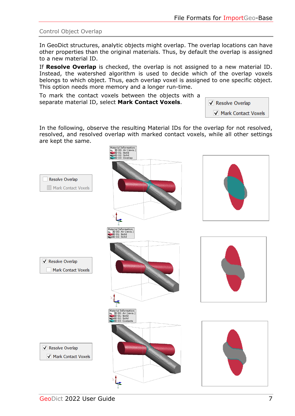#### <span id="page-8-0"></span>Control Object Overlap

In GeoDict structures, analytic objects might overlap. The overlap locations can have other properties than the original materials. Thus, by default the overlap is assigned to a new material ID.

If **Resolve Overlap** is checked, the overlap is not assigned to a new material ID. Instead, the watershed algorithm is used to decide which of the overlap voxels belongs to which object. Thus, each overlap voxel is assigned to one specific object. This option needs more memory and a longer run-time.

To mark the contact voxels between the objects with a separate material ID, select **Mark Contact Voxels**.

√ Resolve Overlap V Mark Contact Voxels

In the following, observe the resulting Material IDs for the overlap for not resolved, resolved, and resolved overlap with marked contact voxels, while all other settings are kept the same.

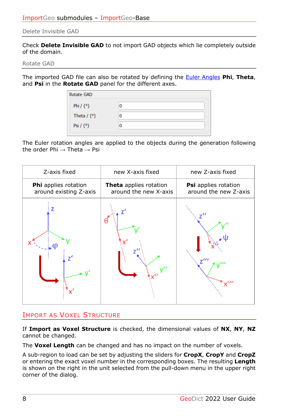<span id="page-9-0"></span>Delete Invisible GAD

Check **Delete Invisible GAD** to not import GAD objects which lie completely outside of the domain.

<span id="page-9-1"></span>Rotate GAD

The imported GAD file can also be rotated by defining the [Euler Angles](https://en.wikipedia.org/wiki/Euler_angles) **Phi**, **Theta**, and **Psi** in the **Rotate GAD** panel for the different axes.

| Rotate GAD            |   |
|-----------------------|---|
| Phi $/$ ( $\circ$ )   | 0 |
| Theta $/$ ( $\circ$ ) | 0 |
| Psi $/$ ( $\circ$ )   | 0 |
|                       |   |

The Euler rotation angles are applied to the objects during the generation following the order Phi  $\rightarrow$  Theta  $\rightarrow$  Psi

| Z-axis fixed                                   | new X-axis fixed                                | new Z-axis fixed                              |
|------------------------------------------------|-------------------------------------------------|-----------------------------------------------|
| Phi applies rotation<br>around existing Z-axis | Theta applies rotation<br>around the new X-axis | Psi applies rotation<br>around the new Z-axis |
|                                                |                                                 | $\overline{\mathcal{U}}$<br>$\overline{a}$    |

#### <span id="page-9-2"></span>IMPORT AS VOXEL STRUCTURE

If **Import as Voxel Structure** is checked, the dimensional values of **NX**, **NY**, **NZ** cannot be changed.

The **Voxel Length** can be changed and has no impact on the number of voxels.

A sub-region to load can be set by adjusting the sliders for **CropX**, **CropY** and **CropZ** or entering the exact voxel number in the corresponding boxes. The resulting **Length** is shown on the right in the unit selected from the pull-down menu in the upper right corner of the dialog.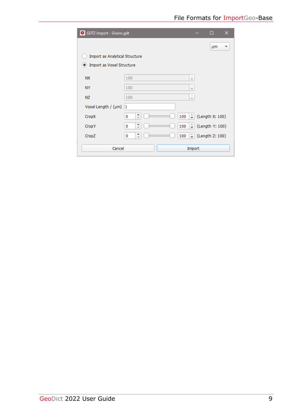| GDT2 Import - Grains.gdt       |                                           |                                | П<br>×          |
|--------------------------------|-------------------------------------------|--------------------------------|-----------------|
|                                |                                           |                                | μm<br>▼         |
| Import as Analytical Structure |                                           |                                |                 |
| Import as Voxel Structure      |                                           |                                |                 |
| <b>NX</b>                      | 100                                       | a.<br>$\overline{\nabla}$      |                 |
| <b>NY</b>                      | 100                                       | a.<br>$\overline{\phantom{a}}$ |                 |
| NZ.                            | 100                                       | a.<br>$\overline{\nabla}$      |                 |
| Voxel Length / (µm)            | 1                                         |                                |                 |
| CropX                          | ┻<br>100<br>0<br>$\overline{\mathbf{v}}$  | ÷                              | (Length X: 100) |
| Crop Y                         | ┻<br>100<br>0<br>$\overline{\phantom{a}}$ | ÷                              | (Length Y: 100) |
| CropZ                          | $\frac{1}{\sqrt{2}}$<br>100<br>0          | ÷                              | (Length Z: 100) |
| Cancel                         |                                           | Import                         |                 |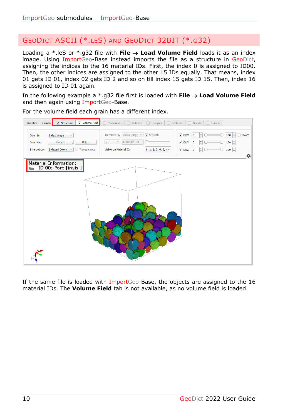#### <span id="page-11-0"></span>GEODICT ASCII (\*.LES) AND GEODICT 32BIT (\*.G32)

Loading a \*.leS or \*.g32 file with **File** → **Load Volume Field** loads it as an index image. Using ImportGeo-Base instead imports the file as a structure in GeoDict, assigning the indices to the 16 material IDs. First, the index 0 is assigned to ID00. Then, the other indices are assigned to the other 15 IDs equally. That means, index 01 gets ID 01, index 02 gets ID 2 and so on till index 15 gets ID 15. Then, index 16 is assigned to ID 01 again.

In the following example a \*.g32 file first is loaded with **File** → **Load Volume Field**  and then again using ImportGeo-Base.

For the volume field each grain has a different index.



If the same file is loaded with ImportGeo-Base, the objects are assigned to the 16 material IDs. The **Volume Field** tab is not available, as no volume field is loaded.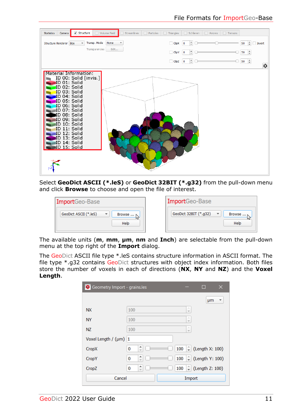

Select **GeoDict ASCII (\*.leS)** or **GeoDict 32BIT (\*.g32)** from the pull-down menu and click **Browse** to choose and open the file of interest.

| ImportGeo-Base           | <b>Import</b> Geo-Base   |
|--------------------------|--------------------------|
| GeoDict ASCII (*.leS)    | GeoDict 32BIT (*.g32)    |
| $\overline{\phantom{a}}$ | $\overline{\phantom{a}}$ |
| Browse $\dots \wedge$    | Browse $\dots$           |
| Help                     | Help                     |

The available units (**m**, **mm**, **µm**, **nm** and **Inch**) are selectable from the pull-down menu at the top right of the **Import** dialog.

The GeoDict ASCII file type \*.leS contains structure information in ASCII format. The file type \*.g32 contains GeoDict structures with object index information. Both files store the number of voxels in each of directions (**NX**, **NY** and **NZ**) and the **Voxel Length**.

| Geometry Import - grains.les |                                    |                                |                 |
|------------------------------|------------------------------------|--------------------------------|-----------------|
|                              |                                    |                                | μm<br>▼         |
| <b>NX</b>                    | 100                                | a.<br>$\overline{\phantom{a}}$ |                 |
| <b>NY</b>                    | 100                                | a.<br>$\overline{\phantom{a}}$ |                 |
| <b>NZ</b>                    | 100                                | a.<br>$\overline{\phantom{m}}$ |                 |
| Voxel Length / $(\mu m)$ 1   |                                    |                                |                 |
| CropX                        | ▲<br>0<br>$\overline{\phantom{a}}$ | ÷.<br>100                      | (Length X: 100) |
| CropY                        | ۰<br>0<br>$\overline{}$            | ÷.<br>100                      | (Length Y: 100) |
| CropZ                        | $\hat{z}$<br>0                     | ÷.<br>100                      | (Length Z: 100) |
| Cancel                       |                                    | Import                         |                 |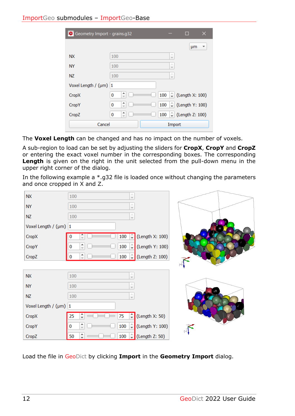| Geometry Import - grains.g32 |                                           |                                | $\times$<br>H   |
|------------------------------|-------------------------------------------|--------------------------------|-----------------|
|                              |                                           |                                | µm<br>▼         |
| <b>NX</b>                    | 100                                       | a.<br>$\overline{\phantom{m}}$ |                 |
| <b>NY</b>                    | 100                                       | a.<br>$\overline{\phantom{a}}$ |                 |
| NZ.                          | 100                                       | a.<br>$\overline{\phantom{a}}$ |                 |
| Voxel Length / $(\mu m)$ 1   |                                           |                                |                 |
| CropX                        | ▲<br>100<br>0<br>$\overline{\phantom{a}}$ | û                              | (Length X: 100) |
| <b>CropY</b>                 | ▲<br>0<br>100<br>$\overline{\phantom{a}}$ | ¢                              | (Length Y: 100) |
| CropZ                        | ۸<br>100<br>0<br>$\overline{\phantom{a}}$ | ¢                              | (Length Z: 100) |
| Cancel                       |                                           | Import                         |                 |

The **Voxel Length** can be changed and has no impact on the number of voxels.

A sub-region to load can be set by adjusting the sliders for **CropX**, **CropY** and **CropZ** or entering the exact voxel number in the corresponding boxes. The corresponding Length is given on the right in the unit selected from the pull-down menu in the upper right corner of the dialog.

In the following example a \*.g32 file is loaded once without changing the parameters and once cropped in X and Z.

| <b>NX</b>             | 100                                         | A<br>$\overline{\nabla}$       |  |
|-----------------------|---------------------------------------------|--------------------------------|--|
| <b>NY</b>             | 100                                         | A.<br>$\overline{\nabla}$      |  |
| <b>NZ</b>             | 100                                         | A<br>$\overline{\phantom{a}}$  |  |
| Voxel Length / (µm) 1 |                                             |                                |  |
| CropX                 | 100<br>0                                    | $\left($ Length X: 100)<br>¢   |  |
| <b>CropY</b>          | 100<br>0                                    | ÷<br>(Length Y: 100)           |  |
| CropZ                 | 100<br>0                                    | ÷<br>$($ Length Z: 100 $)$     |  |
|                       |                                             |                                |  |
| <b>NX</b>             | 100                                         | $\Delta$<br>$\sim$             |  |
| <b>NY</b>             | 100                                         | a.<br>$\overline{\phantom{a}}$ |  |
| <b>NZ</b>             | 100                                         | A<br>$\bar{\rm v}$             |  |
| Voxel Length / (µm)   | 1                                           |                                |  |
| CropX                 | 75<br>25                                    | (Length X: 50)<br>≑            |  |
| <b>CropY</b>          | 100<br>$\bf{0}$<br>$\overline{\phantom{a}}$ | ¢<br>(Length Y: 100)           |  |
| CropZ                 | 100<br>50<br>÷                              | ≑<br>$\left($ Length Z: 50)    |  |

Load the file in GeoDict by clicking **Import** in the **Geometry Import** dialog.